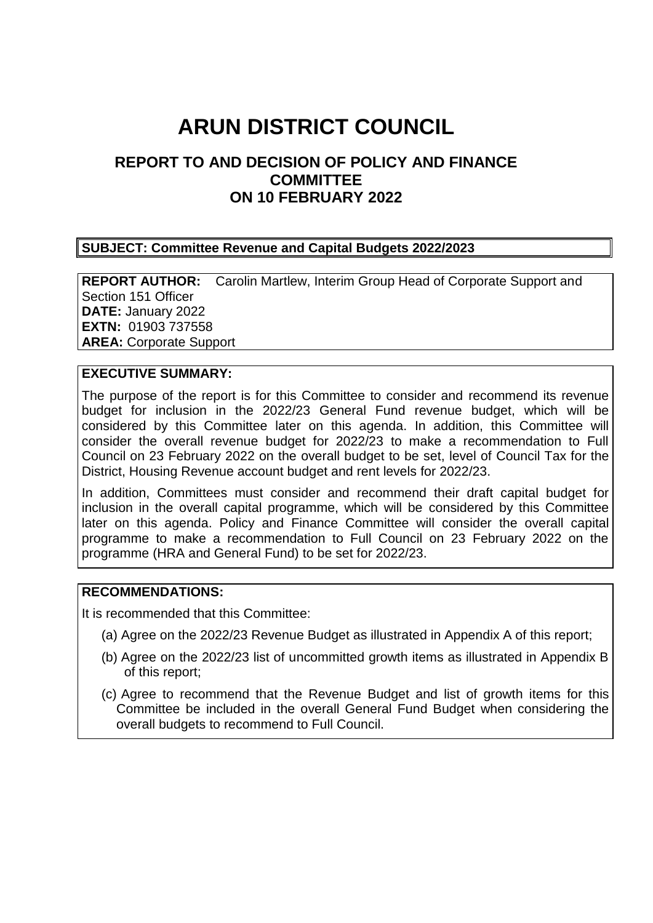# **ARUN DISTRICT COUNCIL**

# **REPORT TO AND DECISION OF POLICY AND FINANCE COMMITTEE ON 10 FEBRUARY 2022**

#### **SUBJECT: Committee Revenue and Capital Budgets 2022/2023**

**REPORT AUTHOR:** Carolin Martlew, Interim Group Head of Corporate Support and Section 151 Officer **DATE:** January 2022 **EXTN:** 01903 737558 **AREA:** Corporate Support

## **EXECUTIVE SUMMARY:**

The purpose of the report is for this Committee to consider and recommend its revenue budget for inclusion in the 2022/23 General Fund revenue budget, which will be considered by this Committee later on this agenda. In addition, this Committee will consider the overall revenue budget for 2022/23 to make a recommendation to Full Council on 23 February 2022 on the overall budget to be set, level of Council Tax for the District, Housing Revenue account budget and rent levels for 2022/23.

In addition, Committees must consider and recommend their draft capital budget for inclusion in the overall capital programme, which will be considered by this Committee later on this agenda. Policy and Finance Committee will consider the overall capital programme to make a recommendation to Full Council on 23 February 2022 on the programme (HRA and General Fund) to be set for 2022/23.

## **RECOMMENDATIONS:**

It is recommended that this Committee:

- (a) Agree on the 2022/23 Revenue Budget as illustrated in Appendix A of this report;
- (b) Agree on the 2022/23 list of uncommitted growth items as illustrated in Appendix B of this report;
- (c) Agree to recommend that the Revenue Budget and list of growth items for this Committee be included in the overall General Fund Budget when considering the overall budgets to recommend to Full Council.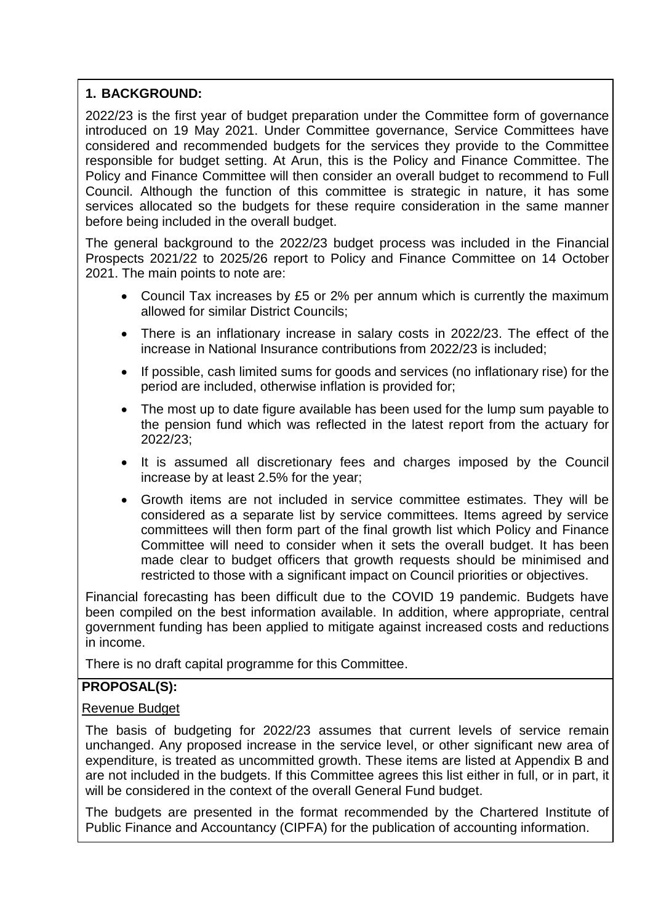# **1. BACKGROUND:**

2022/23 is the first year of budget preparation under the Committee form of governance introduced on 19 May 2021. Under Committee governance, Service Committees have considered and recommended budgets for the services they provide to the Committee responsible for budget setting. At Arun, this is the Policy and Finance Committee. The Policy and Finance Committee will then consider an overall budget to recommend to Full Council. Although the function of this committee is strategic in nature, it has some services allocated so the budgets for these require consideration in the same manner before being included in the overall budget.

The general background to the 2022/23 budget process was included in the Financial Prospects 2021/22 to 2025/26 report to Policy and Finance Committee on 14 October 2021. The main points to note are:

- Council Tax increases by £5 or 2% per annum which is currently the maximum allowed for similar District Councils;
- There is an inflationary increase in salary costs in 2022/23. The effect of the increase in National Insurance contributions from 2022/23 is included;
- If possible, cash limited sums for goods and services (no inflationary rise) for the period are included, otherwise inflation is provided for;
- The most up to date figure available has been used for the lump sum payable to the pension fund which was reflected in the latest report from the actuary for 2022/23;
- It is assumed all discretionary fees and charges imposed by the Council increase by at least 2.5% for the year;
- Growth items are not included in service committee estimates. They will be considered as a separate list by service committees. Items agreed by service committees will then form part of the final growth list which Policy and Finance Committee will need to consider when it sets the overall budget. It has been made clear to budget officers that growth requests should be minimised and restricted to those with a significant impact on Council priorities or objectives.

Financial forecasting has been difficult due to the COVID 19 pandemic. Budgets have been compiled on the best information available. In addition, where appropriate, central government funding has been applied to mitigate against increased costs and reductions in income.

There is no draft capital programme for this Committee.

## **PROPOSAL(S):**

## Revenue Budget

The basis of budgeting for 2022/23 assumes that current levels of service remain unchanged. Any proposed increase in the service level, or other significant new area of expenditure, is treated as uncommitted growth. These items are listed at Appendix B and are not included in the budgets. If this Committee agrees this list either in full, or in part, it will be considered in the context of the overall General Fund budget.

The budgets are presented in the format recommended by the Chartered Institute of Public Finance and Accountancy (CIPFA) for the publication of accounting information.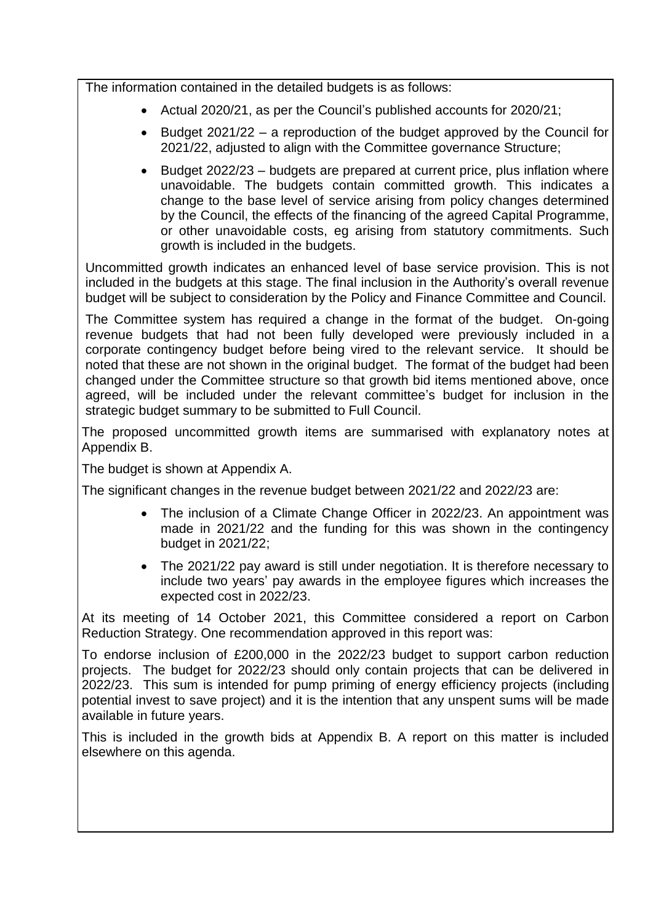The information contained in the detailed budgets is as follows:

- Actual 2020/21, as per the Council's published accounts for 2020/21;
- Eudget 2021/22 a reproduction of the budget approved by the Council for 2021/22, adjusted to align with the Committee governance Structure;
- Budget 2022/23 budgets are prepared at current price, plus inflation where unavoidable. The budgets contain committed growth. This indicates a change to the base level of service arising from policy changes determined by the Council, the effects of the financing of the agreed Capital Programme, or other unavoidable costs, eg arising from statutory commitments. Such growth is included in the budgets.

Uncommitted growth indicates an enhanced level of base service provision. This is not included in the budgets at this stage. The final inclusion in the Authority's overall revenue budget will be subject to consideration by the Policy and Finance Committee and Council.

The Committee system has required a change in the format of the budget. On-going revenue budgets that had not been fully developed were previously included in a corporate contingency budget before being vired to the relevant service. It should be noted that these are not shown in the original budget. The format of the budget had been changed under the Committee structure so that growth bid items mentioned above, once agreed, will be included under the relevant committee's budget for inclusion in the strategic budget summary to be submitted to Full Council.

The proposed uncommitted growth items are summarised with explanatory notes at Appendix B.

The budget is shown at Appendix A.

The significant changes in the revenue budget between 2021/22 and 2022/23 are:

- The inclusion of a Climate Change Officer in 2022/23. An appointment was made in 2021/22 and the funding for this was shown in the contingency budget in 2021/22;
- The 2021/22 pay award is still under negotiation. It is therefore necessary to include two years' pay awards in the employee figures which increases the expected cost in 2022/23.

At its meeting of 14 October 2021, this Committee considered a report on Carbon Reduction Strategy. One recommendation approved in this report was:

To endorse inclusion of £200,000 in the 2022/23 budget to support carbon reduction projects. The budget for 2022/23 should only contain projects that can be delivered in 2022/23. This sum is intended for pump priming of energy efficiency projects (including potential invest to save project) and it is the intention that any unspent sums will be made available in future years.

This is included in the growth bids at Appendix B. A report on this matter is included elsewhere on this agenda.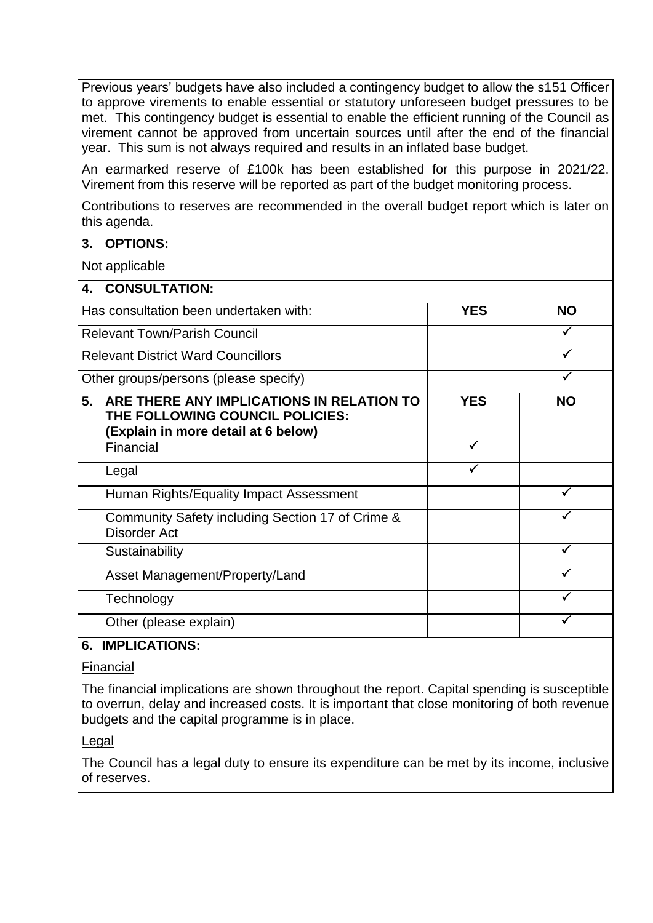Previous years' budgets have also included a contingency budget to allow the s151 Officer to approve virements to enable essential or statutory unforeseen budget pressures to be met. This contingency budget is essential to enable the efficient running of the Council as virement cannot be approved from uncertain sources until after the end of the financial year. This sum is not always required and results in an inflated base budget.

An earmarked reserve of £100k has been established for this purpose in 2021/22. Virement from this reserve will be reported as part of the budget monitoring process.

Contributions to reserves are recommended in the overall budget report which is later on this agenda.

## **3. OPTIONS:**

Not applicable

| 4.<br><b>CONSULTATION:</b>                                                                                                |            |           |
|---------------------------------------------------------------------------------------------------------------------------|------------|-----------|
| Has consultation been undertaken with:                                                                                    | <b>YES</b> | <b>NO</b> |
| <b>Relevant Town/Parish Council</b>                                                                                       |            |           |
| <b>Relevant District Ward Councillors</b>                                                                                 |            |           |
| Other groups/persons (please specify)                                                                                     |            |           |
| 5.<br>ARE THERE ANY IMPLICATIONS IN RELATION TO<br>THE FOLLOWING COUNCIL POLICIES:<br>(Explain in more detail at 6 below) | <b>YES</b> | <b>NO</b> |
| Financial                                                                                                                 |            |           |
| Legal                                                                                                                     |            |           |
| Human Rights/Equality Impact Assessment                                                                                   |            |           |
| Community Safety including Section 17 of Crime &<br>Disorder Act                                                          |            |           |
| Sustainability                                                                                                            |            |           |
| Asset Management/Property/Land                                                                                            |            |           |
| Technology                                                                                                                |            |           |
| Other (please explain)                                                                                                    |            |           |

## **6. IMPLICATIONS:**

## Financial

The financial implications are shown throughout the report. Capital spending is susceptible to overrun, delay and increased costs. It is important that close monitoring of both revenue budgets and the capital programme is in place.

## Legal

The Council has a legal duty to ensure its expenditure can be met by its income, inclusive of reserves.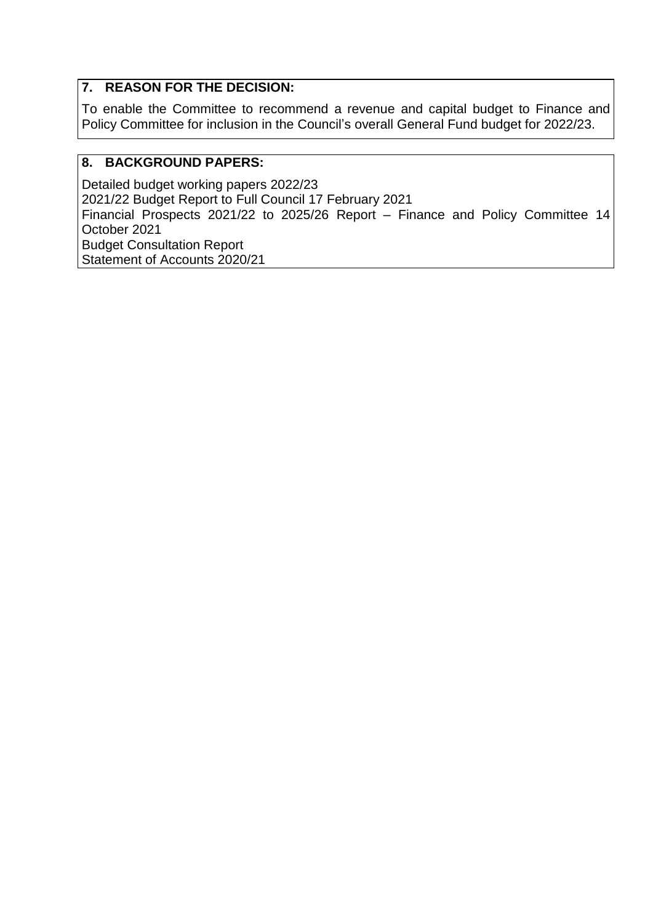## **7. REASON FOR THE DECISION:**

To enable the Committee to recommend a revenue and capital budget to Finance and Policy Committee for inclusion in the Council's overall General Fund budget for 2022/23.

## **8. BACKGROUND PAPERS:**

Detailed budget working papers 2022/23 2021/22 Budget Report to Full Council 17 February 2021 Financial Prospects 2021/22 to 2025/26 Report – Finance and Policy Committee 14 October 2021 Budget Consultation Report Statement of Accounts 2020/21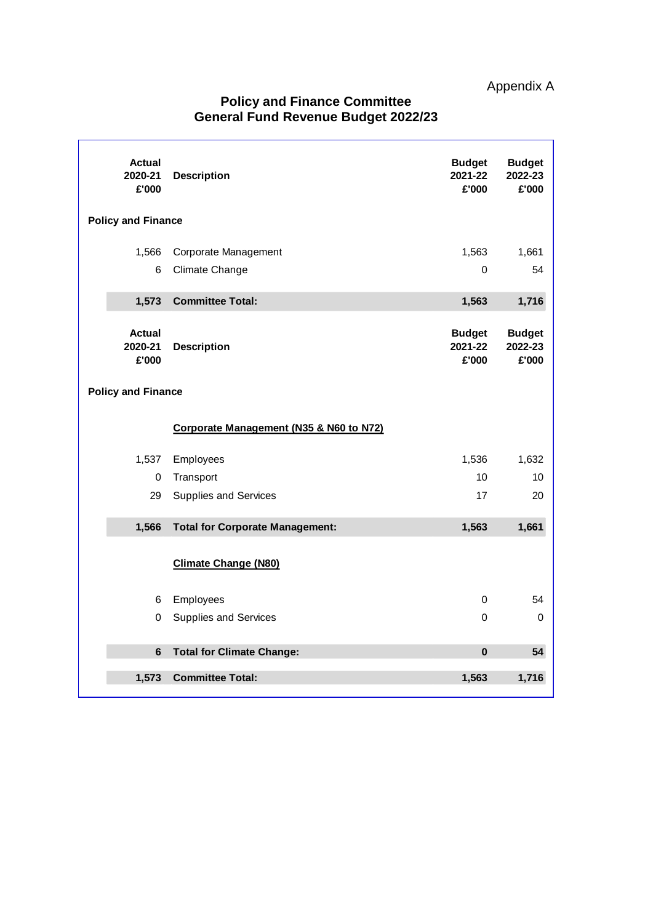| <b>Actual</b><br>2020-21<br>£'000 | <b>Description</b>                      | <b>Budget</b><br>2021-22<br>£'000 | <b>Budget</b><br>2022-23<br>£'000 |
|-----------------------------------|-----------------------------------------|-----------------------------------|-----------------------------------|
| <b>Policy and Finance</b>         |                                         |                                   |                                   |
| 1,566<br>6                        | Corporate Management<br>Climate Change  | 1,563<br>0                        | 1,661<br>54                       |
| 1,573                             | <b>Committee Total:</b>                 | 1,563                             | 1,716                             |
| <b>Actual</b><br>2020-21<br>£'000 | <b>Description</b>                      | <b>Budget</b><br>2021-22<br>£'000 | <b>Budget</b><br>2022-23<br>£'000 |
| <b>Policy and Finance</b>         |                                         |                                   |                                   |
|                                   | Corporate Management (N35 & N60 to N72) |                                   |                                   |
| 1,537                             | Employees                               | 1,536                             | 1,632                             |
| 0                                 | Transport                               | 10                                | 10                                |
| 29                                | <b>Supplies and Services</b>            | 17                                | 20                                |
| 1,566                             | <b>Total for Corporate Management:</b>  | 1,563                             | 1,661                             |
|                                   | <b>Climate Change (N80)</b>             |                                   |                                   |
| 6                                 | Employees                               | $\Omega$                          | 54                                |
| 0                                 | <b>Supplies and Services</b>            | 0                                 | $\mathbf 0$                       |
| 6                                 | <b>Total for Climate Change:</b>        | $\bf{0}$                          | 54                                |

**1,573 Committee Total: 1,563 1,716**

## **Policy and Finance Committee General Fund Revenue Budget 2022/23**